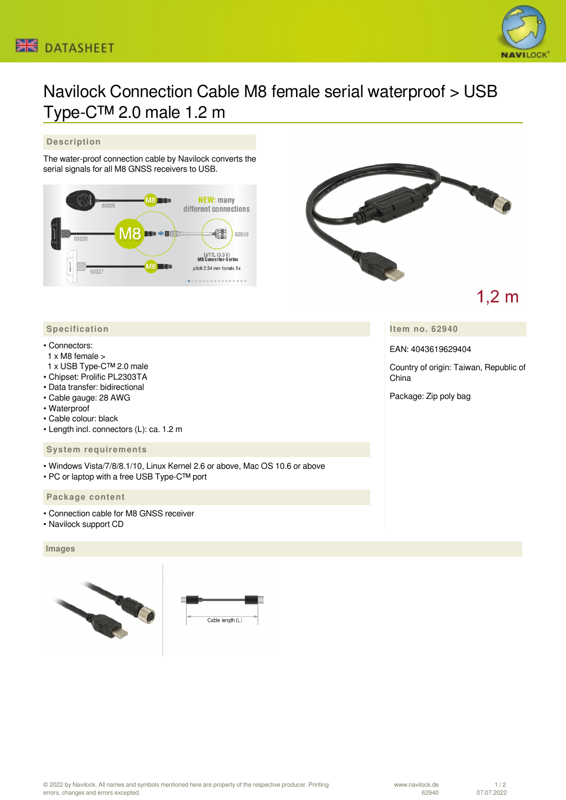



# Navilock Connection Cable M8 female serial waterproof > USB Type-C™ 2.0 male 1.2 m

## **Description**

The water-proof connection cable by Navilock converts the serial signals for all M8 GNSS receivers to USB.





# $1,2 \text{ m}$

## **Item no. 62940**

EAN: 4043619629404

Country of origin: Taiwan, Republic of China

Package: Zip poly bag

#### **Specification**

#### • Connectors:

- 1 x M8 female >
- 1 x USB Type-C™ 2.0 male
- Chipset: Prolific PL2303TA
- Data transfer: bidirectional
- Cable gauge: 28 AWG
- Waterproof
- Cable colour: black
- Length incl. connectors (L): ca. 1.2 m

# **System requirements**

- Windows Vista/7/8/8.1/10, Linux Kernel 2.6 or above, Mac OS 10.6 or above
- PC or laptop with a free USB Type-C™ port

#### **Package content**

- Connection cable for M8 GNSS receiver
- Navilock support CD

#### **Images**